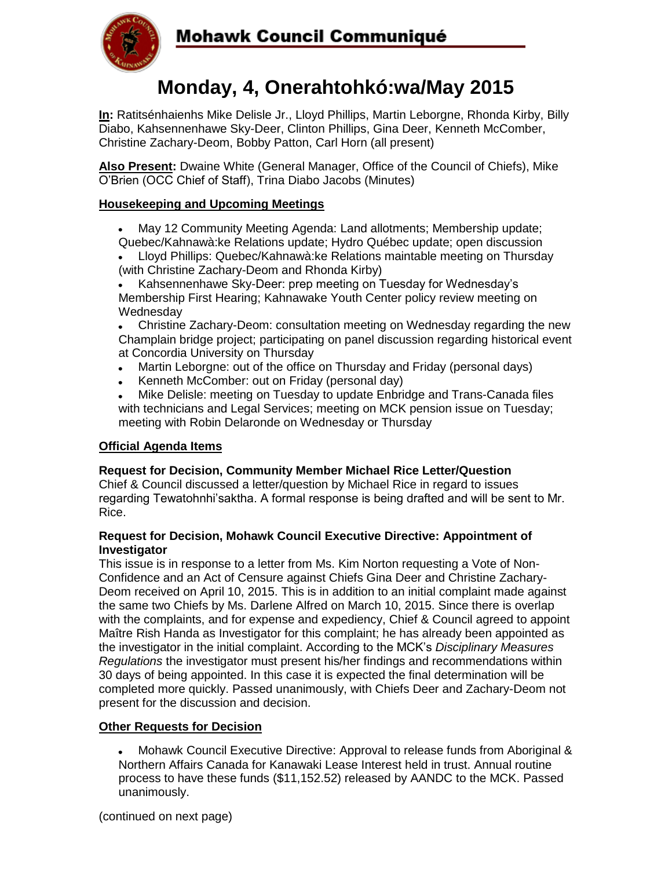

# **Monday, 4, Onerahtohkó:wa/May 2015**

**In:** Ratitsénhaienhs Mike Delisle Jr., Lloyd Phillips, Martin Leborgne, Rhonda Kirby, Billy Diabo, Kahsennenhawe Sky-Deer, Clinton Phillips, Gina Deer, Kenneth McComber, Christine Zachary-Deom, Bobby Patton, Carl Horn (all present)

**Also Present:** Dwaine White (General Manager, Office of the Council of Chiefs), Mike O'Brien (OCC Chief of Staff), Trina Diabo Jacobs (Minutes)

## **Housekeeping and Upcoming Meetings**

- May 12 Community Meeting Agenda: Land allotments; Membership update; Quebec/Kahnawà:ke Relations update; Hydro Québec update; open discussion
- Lloyd Phillips: Quebec/Kahnawà:ke Relations maintable meeting on Thursday (with Christine Zachary-Deom and Rhonda Kirby)

Kahsennenhawe Sky-Deer: prep meeting on Tuesday for Wednesday's Membership First Hearing; Kahnawake Youth Center policy review meeting on **Wednesday** 

Christine Zachary-Deom: consultation meeting on Wednesday regarding the new Champlain bridge project; participating on panel discussion regarding historical event at Concordia University on Thursday

- Martin Leborgne: out of the office on Thursday and Friday (personal days)  $\bullet$
- Kenneth McComber: out on Friday (personal day)

Mike Delisle: meeting on Tuesday to update Enbridge and Trans-Canada files with technicians and Legal Services; meeting on MCK pension issue on Tuesday; meeting with Robin Delaronde on Wednesday or Thursday

## **Official Agenda Items**

## **Request for Decision, Community Member Michael Rice Letter/Question**

Chief & Council discussed a letter/question by Michael Rice in regard to issues regarding Tewatohnhi'saktha. A formal response is being drafted and will be sent to Mr. Rice.

#### **Request for Decision, Mohawk Council Executive Directive: Appointment of Investigator**

This issue is in response to a letter from Ms. Kim Norton requesting a Vote of Non-Confidence and an Act of Censure against Chiefs Gina Deer and Christine Zachary-Deom received on April 10, 2015. This is in addition to an initial complaint made against the same two Chiefs by Ms. Darlene Alfred on March 10, 2015. Since there is overlap with the complaints, and for expense and expediency, Chief & Council agreed to appoint Maître Rish Handa as Investigator for this complaint; he has already been appointed as the investigator in the initial complaint. According to the MCK's *Disciplinary Measures Regulations* the investigator must present his/her findings and recommendations within 30 days of being appointed. In this case it is expected the final determination will be completed more quickly. Passed unanimously, with Chiefs Deer and Zachary-Deom not present for the discussion and decision.

#### **Other Requests for Decision**

Mohawk Council Executive Directive: Approval to release funds from Aboriginal &  $\bullet$ Northern Affairs Canada for Kanawaki Lease Interest held in trust. Annual routine process to have these funds (\$11,152.52) released by AANDC to the MCK. Passed unanimously.

(continued on next page)